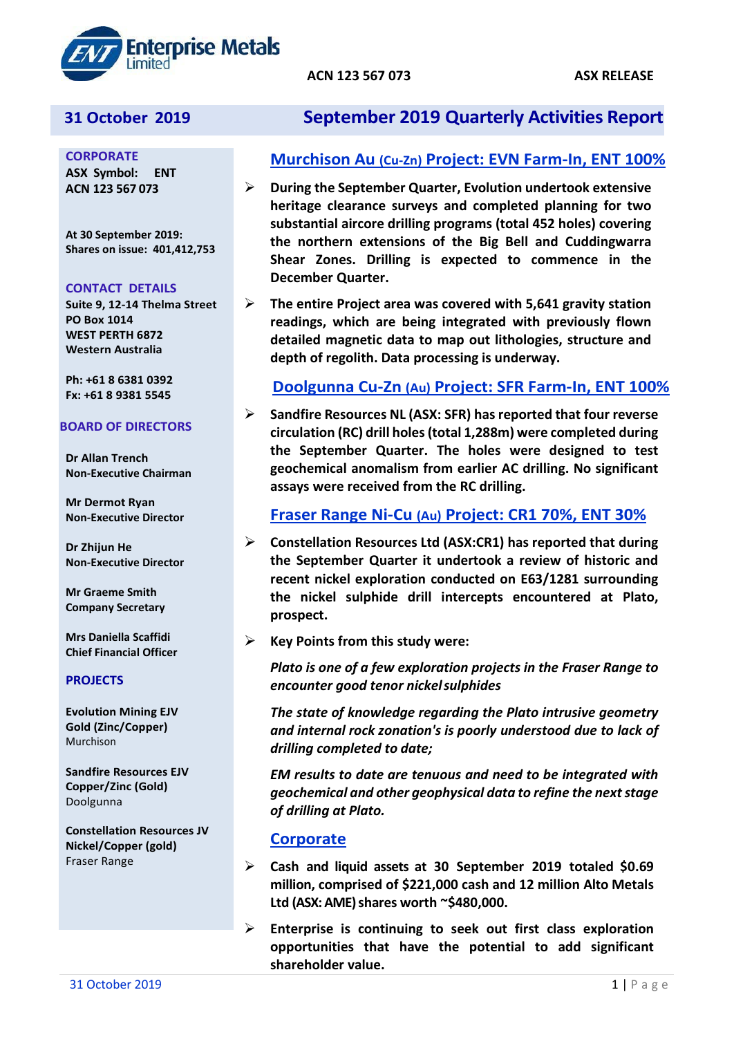

**CORPORATE ASX Symbol: ENT ACN 123 567 073**

**At 30 September 2019: Shares on issue: 401,412,753**

#### **CONTACT DETAILS**

**Suite 9, 12-14 Thelma Street PO Box 1014 WEST PERTH 6872 Western Australia**

**Ph: +61 8 6381 0392 Fx: +61 8 9381 5545**

#### **BOARD OF DIRECTORS**

**Dr Allan Trench Non-Executive Chairman**

**Mr Dermot Ryan Non-Executive Director**

**Dr Zhijun He Non-Executive Director**

**Mr Graeme Smith Company Secretary**

**Mrs Daniella Scaffidi Chief Financial Officer**

#### **PROJECTS**

**Evolution Mining EJV Gold (Zinc/Copper)** Murchison

**Sandfire Resources EJV Copper/Zinc (Gold)** Doolgunna

**Constellation Resources JV Nickel/Copper (gold)** Fraser Range

# **31 October 2019 September 2019 Quarterly Activities Report**

# **Murchison Au (Cu-Zn) Project: EVN Farm-In, ENT 100%**

- **During the September Quarter, Evolution undertook extensive heritage clearance surveys and completed planning for two substantial aircore drilling programs (total 452 holes) covering the northern extensions of the Big Bell and Cuddingwarra Shear Zones. Drilling is expected to commence in the December Quarter.**
- **The entire Project area was covered with 5,641 gravity station readings, which are being integrated with previously flown detailed magnetic data to map out lithologies, structure and depth of regolith. Data processing is underway.**

# **Doolgunna Cu-Zn (Au) Project: SFR Farm-In, ENT 100%**

 **Sandfire Resources NL (ASX: SFR) has reported that four reverse circulation (RC) drill holes (total 1,288m) were completed during the September Quarter. The holes were designed to test geochemical anomalism from earlier AC drilling. No significant assays were received from the RC drilling.**

# **Fraser Range Ni-Cu (Au) Project: CR1 70%, ENT 30%**

- **Constellation Resources Ltd (ASX:CR1) has reported that during the September Quarter it undertook a review of historic and recent nickel exploration conducted on E63/1281 surrounding the nickel sulphide drill intercepts encountered at Plato, prospect.**
- **Key Points from this study were:**

*Plato is one of a few exploration projects in the Fraser Range to encounter good tenor nickelsulphides*

*The state of knowledge regarding the Plato intrusive geometry and internal rock zonation's is poorly understood due to lack of drilling completed to date;*

*EM results to date are tenuous and need to be integrated with geochemical and other geophysical data to refine the next stage of drilling at Plato.*

# **Corporate**

- **Cash and liquid assets at 30 September 2019 totaled \$0.69 million, comprised of \$221,000 cash and 12 million Alto Metals Ltd (ASX: AME) shares worth ~\$480,000.**
- **Enterprise is continuing to seek out first class exploration opportunities that have the potential to add significant shareholder value.**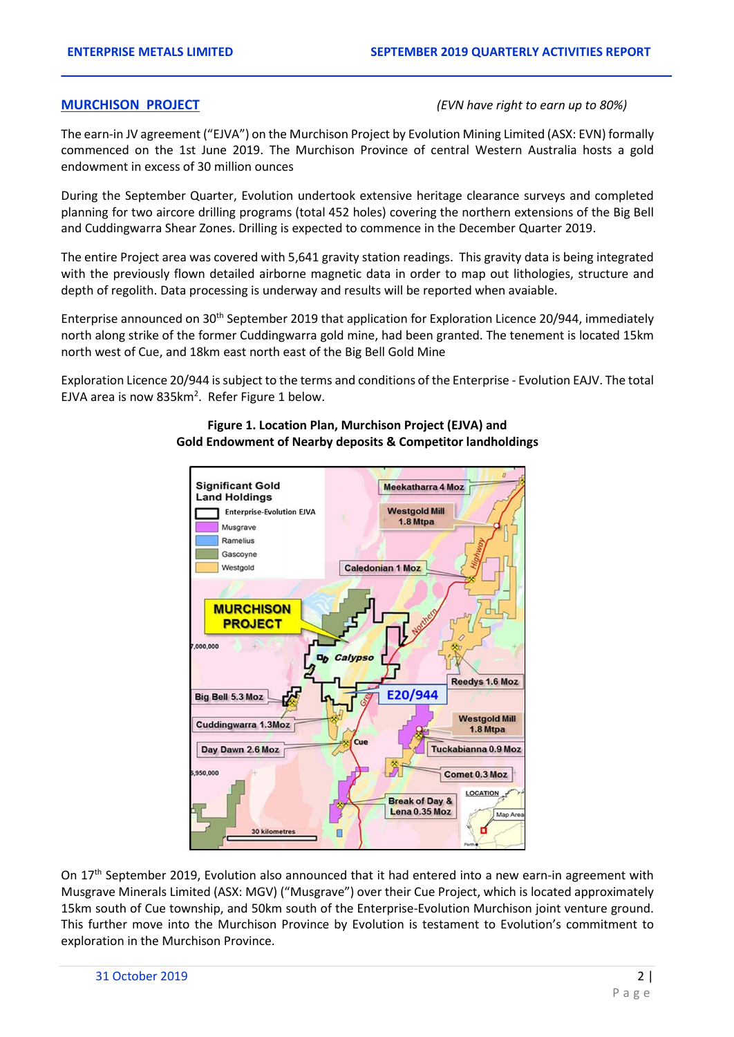#### **MURCHISON PROJECT** *(EVN have right to earn up to 80%)*

The earn-in JV agreement ("EJVA") on the Murchison Project by Evolution Mining Limited (ASX: EVN) formally commenced on the 1st June 2019. The Murchison Province of central Western Australia hosts a gold endowment in excess of 30 million ounces

During the September Quarter, Evolution undertook extensive heritage clearance surveys and completed planning for two aircore drilling programs (total 452 holes) covering the northern extensions of the Big Bell and Cuddingwarra Shear Zones. Drilling is expected to commence in the December Quarter 2019.

The entire Project area was covered with 5,641 gravity station readings. This gravity data is being integrated with the previously flown detailed airborne magnetic data in order to map out lithologies, structure and depth of regolith. Data processing is underway and results will be reported when avaiable.

Enterprise announced on 30<sup>th</sup> September 2019 that application for Exploration Licence 20/944, immediately north along strike of the former Cuddingwarra gold mine, had been granted. The tenement is located 15km north west of Cue, and 18km east north east of the Big Bell Gold Mine

Exploration Licence 20/944 is subject to the terms and conditions of the Enterprise - Evolution EAJV. The total EJVA area is now  $835 \text{km}^2$ . Refer Figure 1 below.



### **Figure 1. Location Plan, Murchison Project (EJVA) and Gold Endowment of Nearby deposits & Competitor landholdings**

On 17<sup>th</sup> September 2019, Evolution also announced that it had entered into a new earn-in agreement with Musgrave Minerals Limited (ASX: MGV) ("Musgrave") over their Cue Project, which is located approximately 15km south of Cue township, and 50km south of the Enterprise-Evolution Murchison joint venture ground. This further move into the Murchison Province by Evolution is testament to Evolution's commitment to exploration in the Murchison Province.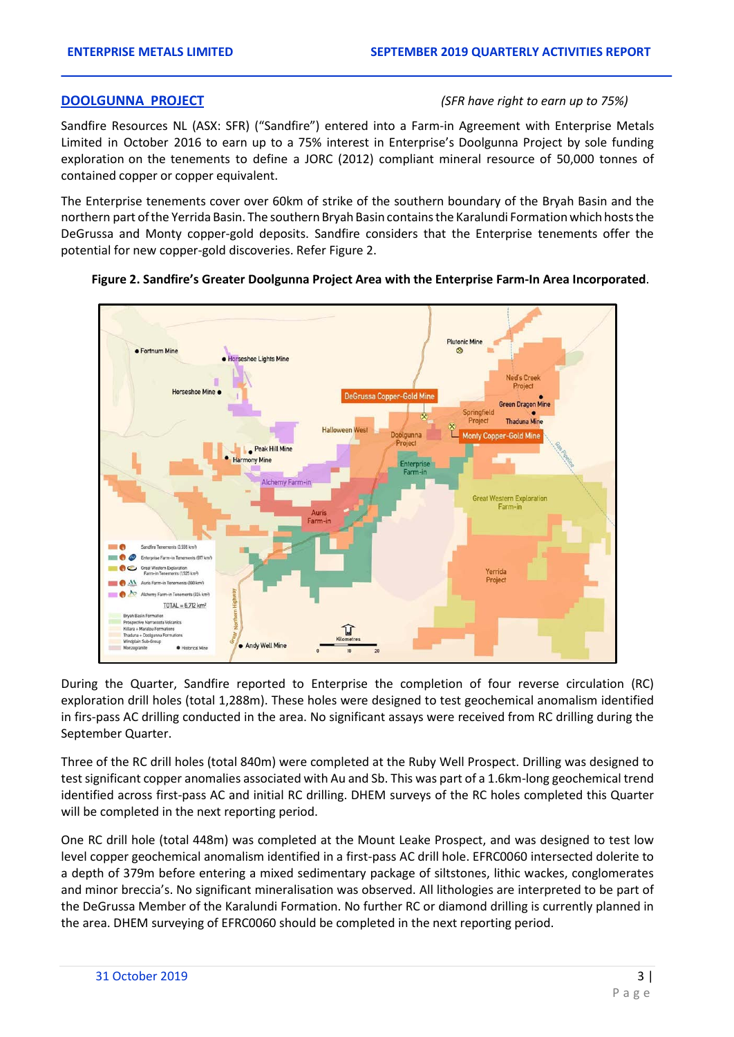#### **DOOLGUNNA PROJECT** *(SFR have right to earn up to 75%)*

Sandfire Resources NL (ASX: SFR) ("Sandfire") entered into a Farm-in Agreement with Enterprise Metals Limited in October 2016 to earn up to a 75% interest in Enterprise's Doolgunna Project by sole funding exploration on the tenements to define a JORC (2012) compliant mineral resource of 50,000 tonnes of contained copper or copper equivalent.

The Enterprise tenements cover over 60km of strike of the southern boundary of the Bryah Basin and the northern part ofthe Yerrida Basin. The southern Bryah Basin containsthe Karalundi Formationwhich hoststhe DeGrussa and Monty copper-gold deposits. Sandfire considers that the Enterprise tenements offer the potential for new copper-gold discoveries. Refer Figure 2.



#### **Figure 2. Sandfire's Greater Doolgunna Project Area with the Enterprise Farm-In Area Incorporated**.

During the Quarter, Sandfire reported to Enterprise the completion of four reverse circulation (RC) exploration drill holes (total 1,288m). These holes were designed to test geochemical anomalism identified in firs-pass AC drilling conducted in the area. No significant assays were received from RC drilling during the September Quarter.

Three of the RC drill holes (total 840m) were completed at the Ruby Well Prospect. Drilling was designed to test significant copper anomalies associated with Au and Sb. This was part of a 1.6km-long geochemical trend identified across first-pass AC and initial RC drilling. DHEM surveys of the RC holes completed this Quarter will be completed in the next reporting period.

One RC drill hole (total 448m) was completed at the Mount Leake Prospect, and was designed to test low level copper geochemical anomalism identified in a first-pass AC drill hole. EFRC0060 intersected dolerite to a depth of 379m before entering a mixed sedimentary package of siltstones, lithic wackes, conglomerates and minor breccia's. No significant mineralisation was observed. All lithologies are interpreted to be part of the DeGrussa Member of the Karalundi Formation. No further RC or diamond drilling is currently planned in the area. DHEM surveying of EFRC0060 should be completed in the next reporting period.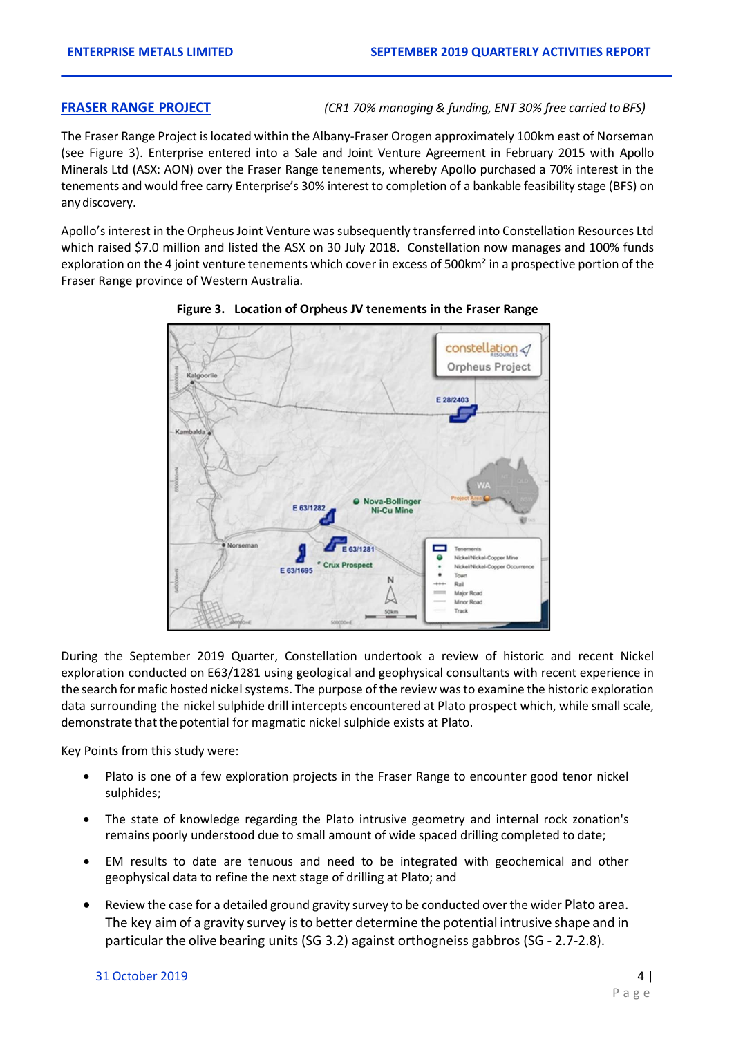**FRASER RANGE PROJECT** *(CR1 70% managing & funding, ENT 30% free carried to BFS)*

The Fraser Range Project is located within the Albany-Fraser Orogen approximately 100km east of Norseman (see Figure 3). Enterprise entered into a Sale and Joint Venture Agreement in February 2015 with Apollo Minerals Ltd (ASX: AON) over the Fraser Range tenements, whereby Apollo purchased a 70% interest in the tenements and would free carry Enterprise's 30% interest to completion of a bankable feasibility stage (BFS) on anydiscovery.

Apollo's interest in the Orpheus Joint Venture was subsequently transferred into Constellation Resources Ltd which raised \$7.0 million and listed the ASX on 30 July 2018. Constellation now manages and 100% funds exploration on the 4 joint venture tenements which cover in excess of 500km<sup>2</sup> in a prospective portion of the Fraser Range province of Western Australia.



**Figure 3. Location of Orpheus JV tenements in the Fraser Range** 

During the September 2019 Quarter, Constellation undertook a review of historic and recent Nickel exploration conducted on E63/1281 using geological and geophysical consultants with recent experience in the search formafic hosted nickel systems. The purpose of the review was to examine the historic exploration data surrounding the nickel sulphide drill intercepts encountered at Plato prospect which, while small scale, demonstrate that the potential for magmatic nickel sulphide exists at Plato.

Key Points from this study were:

- Plato is one of a few exploration projects in the Fraser Range to encounter good tenor nickel sulphides;
- The state of knowledge regarding the Plato intrusive geometry and internal rock zonation's remains poorly understood due to small amount of wide spaced drilling completed to date;
- EM results to date are tenuous and need to be integrated with geochemical and other geophysical data to refine the next stage of drilling at Plato; and
- Review the case for a detailed ground gravity survey to be conducted over the wider Plato area. The key aim of a gravity survey isto better determine the potential intrusive shape and in particular the olive bearing units (SG 3.2) against orthogneiss gabbros (SG - 2.7-2.8).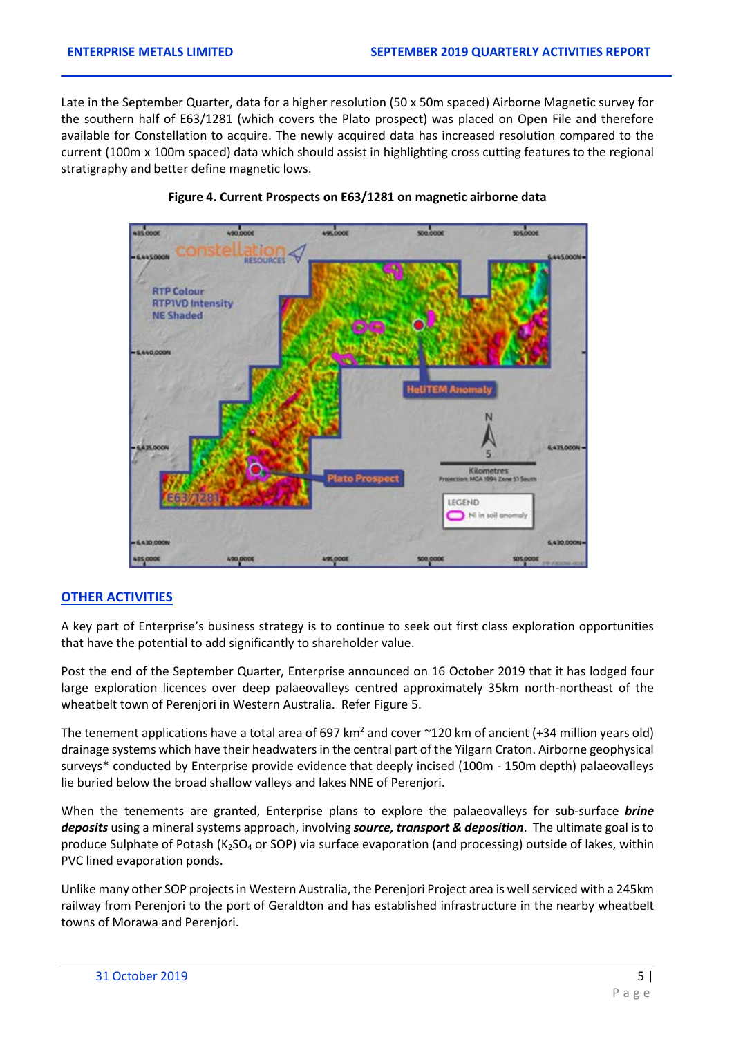Late in the September Quarter, data for a higher resolution (50 x 50m spaced) Airborne Magnetic survey for the southern half of E63/1281 (which covers the Plato prospect) was placed on Open File and therefore available for Constellation to acquire. The newly acquired data has increased resolution compared to the current (100m x 100m spaced) data which should assist in highlighting cross cutting features to the regional stratigraphy and better define magnetic lows.



#### **Figure 4. Current Prospects on E63/1281 on magnetic airborne data**

### **OTHER ACTIVITIES**

A key part of Enterprise's business strategy is to continue to seek out first class exploration opportunities that have the potential to add significantly to shareholder value.

Post the end of the September Quarter, Enterprise announced on 16 October 2019 that it has lodged four large exploration licences over deep palaeovalleys centred approximately 35km north-northeast of the wheatbelt town of Perenjori in Western Australia. Refer Figure 5.

The tenement applications have a total area of 697 km<sup>2</sup> and cover  $\sim$ 120 km of ancient (+34 million years old) drainage systems which have their headwaters in the central part of the Yilgarn Craton. Airborne geophysical surveys\* conducted by Enterprise provide evidence that deeply incised (100m - 150m depth) palaeovalleys lie buried below the broad shallow valleys and lakes NNE of Perenjori.

When the tenements are granted, Enterprise plans to explore the palaeovalleys for sub-surface *brine deposits* using a mineral systems approach, involving *source, transport & deposition*. The ultimate goal is to produce Sulphate of Potash (K<sub>2</sub>SO<sub>4</sub> or SOP) via surface evaporation (and processing) outside of lakes, within PVC lined evaporation ponds.

Unlike many other SOP projects in Western Australia, the Perenjori Project area is well serviced with a 245km railway from Perenjori to the port of Geraldton and has established infrastructure in the nearby wheatbelt towns of Morawa and Perenjori.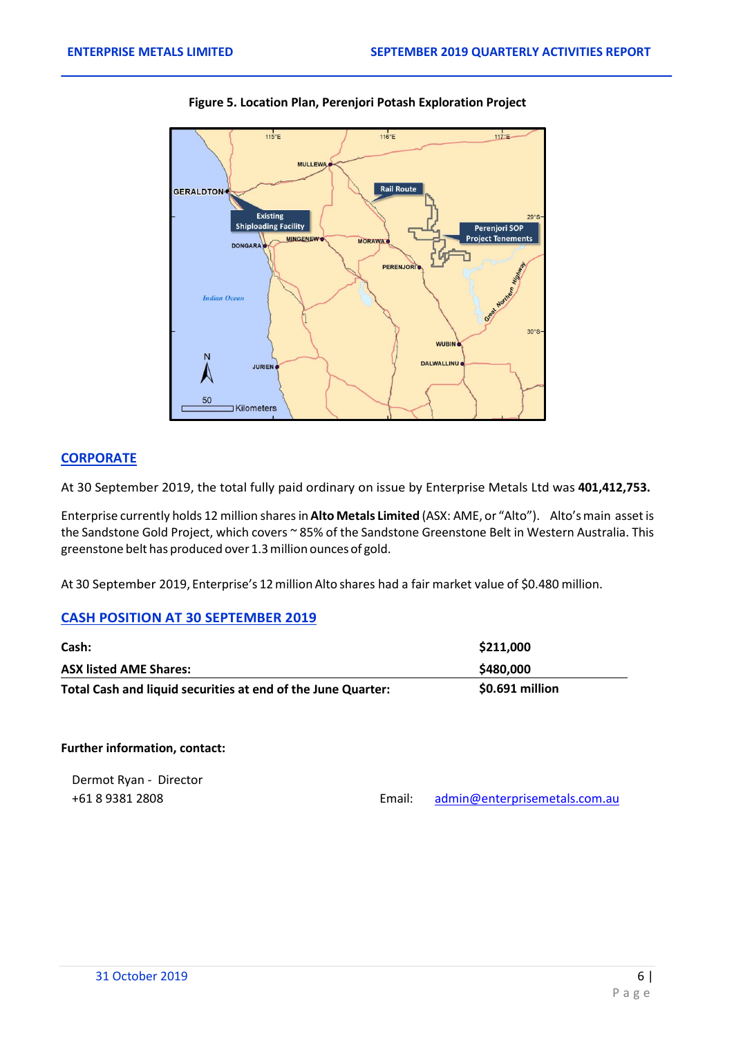



# **CORPORATE**

At 30 September 2019, the total fully paid ordinary on issue by Enterprise Metals Ltd was **401,412,753.**

Enterprise currently holds 12 million sharesin**Alto Metals Limited** (ASX: AME, or "Alto"). Alto'smain assetis the Sandstone Gold Project, which covers ~ 85% of the Sandstone Greenstone Belt in Western Australia. This greenstone belt has produced over 1.3million ouncesof gold.

At 30 September 2019, Enterprise's 12million Alto shares had a fair market value of \$0.480 million.

### **CASH POSITION AT 30 SEPTEMBER 2019**

| Cash:                                                        | \$211,000       |
|--------------------------------------------------------------|-----------------|
| <b>ASX listed AME Shares:</b>                                | \$480,000       |
| Total Cash and liquid securities at end of the June Quarter: | \$0.691 million |

**Further information, contact:**

Dermot Ryan - Director +61 8 9381 2808 Email: [admin@enterprisemetals.com.a](mailto:admin@enterprisemetals.com.)u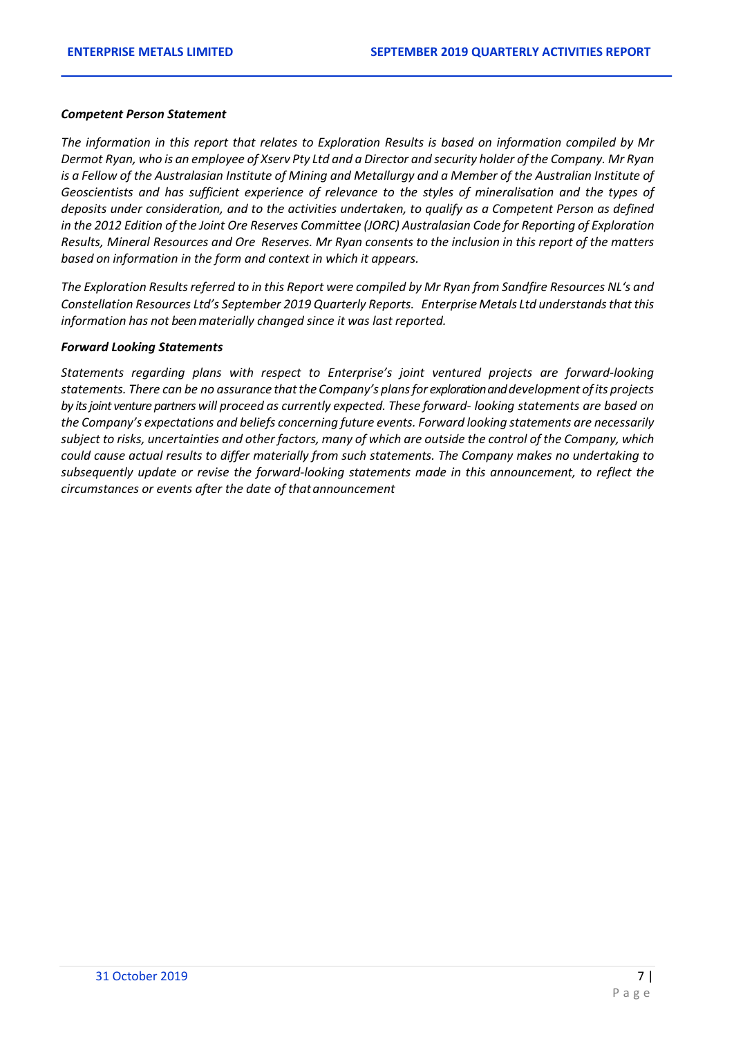#### *Competent Person Statement*

*The information in this report that relates to Exploration Results is based on information compiled by Mr*  Dermot Ryan, who is an employee of Xserv Pty Ltd and a Director and security holder of the Company. Mr Ryan *is a Fellow of the Australasian Institute of Mining and Metallurgy and a Member of the Australian Institute of Geoscientists and has sufficient experience of relevance to the styles of mineralisation and the types of deposits under consideration, and to the activities undertaken, to qualify as a Competent Person as defined in the 2012 Edition of the Joint Ore Reserves Committee (JORC) Australasian Code for Reporting of Exploration Results, Mineral Resources and Ore Reserves. Mr Ryan consents to the inclusion in this report of the matters based on information in the form and context in which it appears.*

*The Exploration Results referred to in this Report were compiled by Mr Ryan from Sandfire Resources NL's and Constellation Resources Ltd's September 2019 Quarterly Reports. EnterpriseMetals Ltd understandsthatthis information has not been materially changed since it was last reported.*

#### *Forward Looking Statements*

*Statements regarding plans with respect to Enterprise's joint ventured projects are forward-looking statements. There can be no assurance thatthe Company's plansfor exploration and development ofits projects by its joint venture partners will proceed as currently expected. These forward- looking statements are based on the Company's expectations and beliefs concerning future events. Forward looking statements are necessarily subject to risks, uncertainties and other factors, many of which are outside the control of the Company, which could cause actual results to differ materially from such statements. The Company makes no undertaking to subsequently update or revise the forward-looking statements made in this announcement, to reflect the circumstances or events after the date of thatannouncement*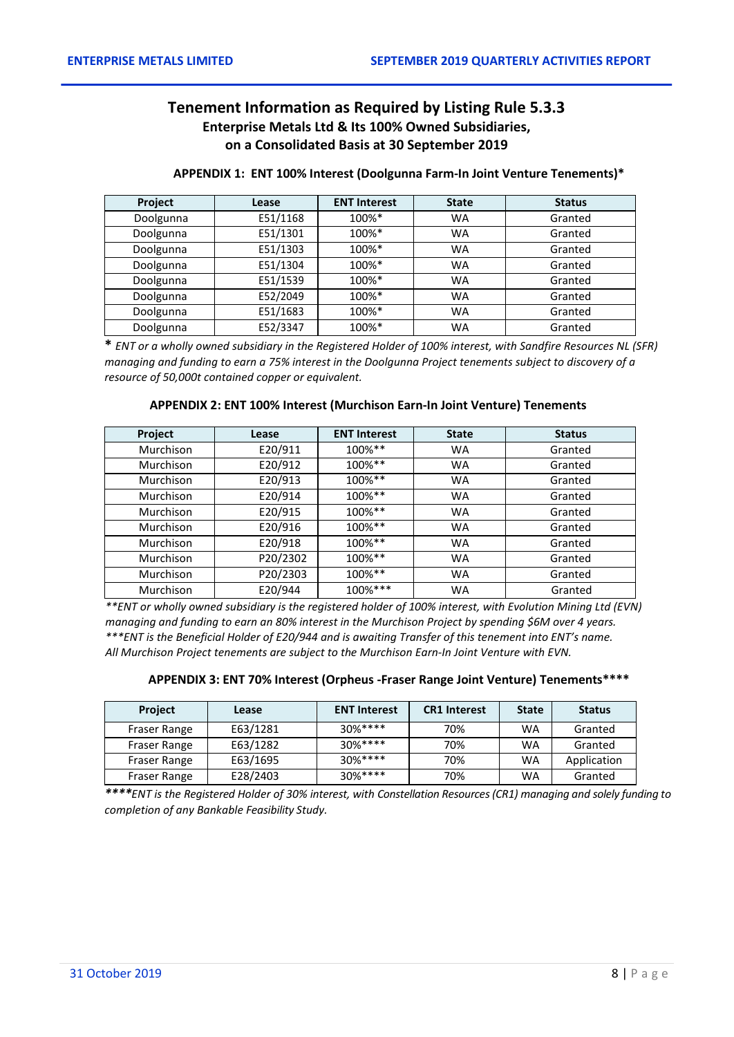# **Tenement Information as Required by Listing Rule 5.3.3 Enterprise Metals Ltd & Its 100% Owned Subsidiaries, on a Consolidated Basis at 30 September 2019**

| <b>Project</b> | Lease    | <b>ENT Interest</b> | <b>State</b> | <b>Status</b> |
|----------------|----------|---------------------|--------------|---------------|
| Doolgunna      | E51/1168 | 100%*               | <b>WA</b>    | Granted       |
| Doolgunna      | E51/1301 | 100%*               | <b>WA</b>    | Granted       |
| Doolgunna      | E51/1303 | 100%*               | <b>WA</b>    | Granted       |
| Doolgunna      | E51/1304 | 100%*               | <b>WA</b>    | Granted       |
| Doolgunna      | E51/1539 | 100%*               | <b>WA</b>    | Granted       |
| Doolgunna      | E52/2049 | 100%*               | <b>WA</b>    | Granted       |
| Doolgunna      | E51/1683 | 100%*               | <b>WA</b>    | Granted       |
| Doolgunna      | E52/3347 | 100%*               | WA           | Granted       |

#### **APPENDIX 1: ENT 100% Interest (Doolgunna Farm-In Joint Venture Tenements)\***

**\*** *ENT or a wholly owned subsidiary in the Registered Holder of 100% interest, with Sandfire Resources NL (SFR) managing and funding to earn a 75% interest in the Doolgunna Project tenements subject to discovery of a resource of 50,000t contained copper or equivalent.*

#### **APPENDIX 2: ENT 100% Interest (Murchison Earn-In Joint Venture) Tenements**

| Project   | Lease    | <b>ENT Interest</b> | <b>State</b> | <b>Status</b> |
|-----------|----------|---------------------|--------------|---------------|
| Murchison | E20/911  | 100%**              | <b>WA</b>    | Granted       |
| Murchison | E20/912  | 100%**              | <b>WA</b>    | Granted       |
| Murchison | E20/913  | 100%**              | <b>WA</b>    | Granted       |
| Murchison | E20/914  | $100\%$ **          | <b>WA</b>    | Granted       |
| Murchison | E20/915  | 100%**              | <b>WA</b>    | Granted       |
| Murchison | E20/916  | $100\%$ **          | <b>WA</b>    | Granted       |
| Murchison | E20/918  | 100%**              | <b>WA</b>    | Granted       |
| Murchison | P20/2302 | $100\%$ **          | <b>WA</b>    | Granted       |
| Murchison | P20/2303 | 100%**              | <b>WA</b>    | Granted       |
| Murchison | E20/944  | $100\%***$          | <b>WA</b>    | Granted       |

*\*\*ENT or wholly owned subsidiary is the registered holder of 100% interest, with Evolution Mining Ltd (EVN) managing and funding to earn an 80% interest in the Murchison Project by spending \$6M over 4 years. \*\*\*ENT is the Beneficial Holder of E20/944 and is awaiting Transfer of this tenement into ENT's name. All Murchison Project tenements are subject to the Murchison Earn-In Joint Venture with EVN.*

#### **APPENDIX 3: ENT 70% Interest (Orpheus -Fraser Range Joint Venture) Tenements\*\*\*\***

| <b>Project</b> | Lease    | <b>ENT Interest</b> | <b>CR1</b> Interest | <b>State</b> | <b>Status</b> |
|----------------|----------|---------------------|---------------------|--------------|---------------|
| Fraser Range   | E63/1281 | $30%****$           | 70%                 | WA           | Granted       |
| Fraser Range   | E63/1282 | $30%***$            | 70%                 | <b>WA</b>    | Granted       |
| Fraser Range   | E63/1695 | $30%***$            | 70%                 | <b>WA</b>    | Application   |
| Fraser Range   | E28/2403 | $30%****$           | 70%                 | <b>WA</b>    | Granted       |

*\*\*\*\*ENT is the Registered Holder of 30% interest, with Constellation Resources (CR1) managing and solely funding to completion of any Bankable Feasibility Study.*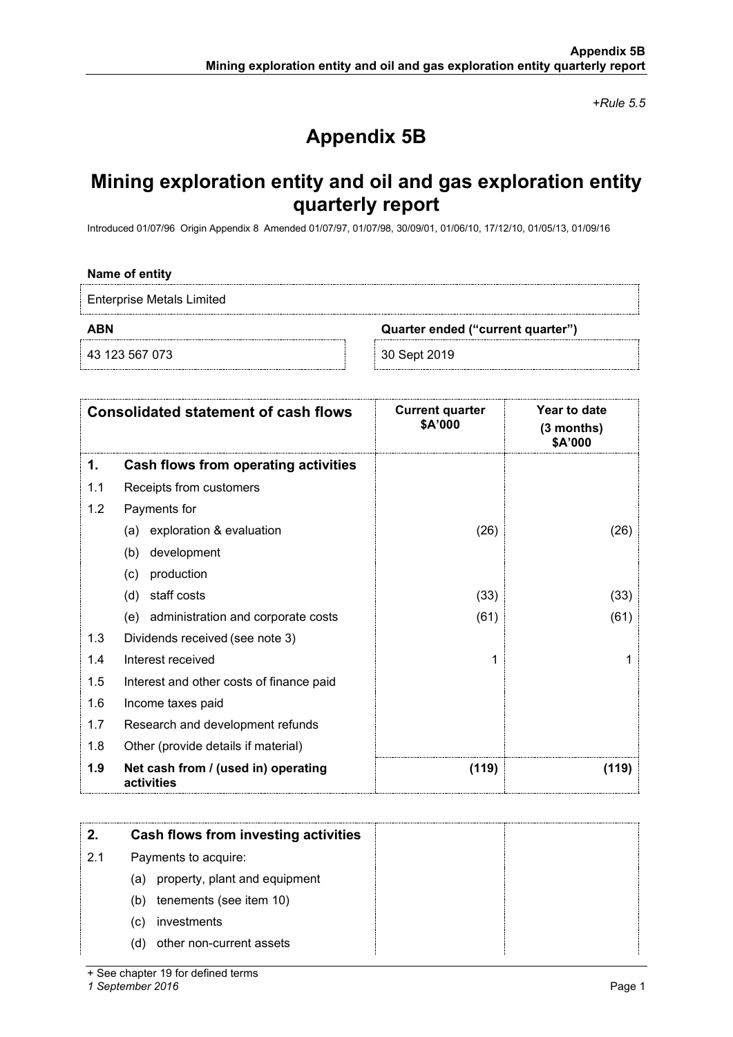*+Rule 5.5*

# **Appendix 5B**

# **Mining exploration entity and oil and gas exploration entity quarterly report**

Introduced 01/07/96 Origin Appendix 8 Amended 01/07/97, 01/07/98, 30/09/01, 01/06/10, 17/12/10, 01/05/13, 01/09/16

#### **Name of entity**

Enterprise Metals Limited

**ABN Quarter ended ("current quarter")**

43 123 567 073 30 Sept 2019

|     | <b>Consolidated statement of cash flows</b>       | <b>Current quarter</b><br>\$A'000 | Year to date<br>(3 months)<br>\$A'000 |
|-----|---------------------------------------------------|-----------------------------------|---------------------------------------|
| 1.  | Cash flows from operating activities              |                                   |                                       |
| 1.1 | Receipts from customers                           |                                   |                                       |
| 1.2 | Payments for                                      |                                   |                                       |
|     | exploration & evaluation<br>(a)                   | (26)                              | (26)                                  |
|     | development<br>(b)                                |                                   |                                       |
|     | production<br>(c)                                 |                                   |                                       |
|     | staff costs<br>(d)                                | (33)                              | (33)                                  |
|     | (e) administration and corporate costs            | (61)                              | (61)                                  |
| 1.3 | Dividends received (see note 3)                   |                                   |                                       |
| 1.4 | Interest received                                 | 1                                 |                                       |
| 1.5 | Interest and other costs of finance paid          |                                   |                                       |
| 1.6 | Income taxes paid                                 |                                   |                                       |
| 1.7 | Research and development refunds                  |                                   |                                       |
| 1.8 | Other (provide details if material)               |                                   |                                       |
| 1.9 | Net cash from / (used in) operating<br>activities | (119)                             | (119)                                 |

|     | Cash flows from investing activities |  |
|-----|--------------------------------------|--|
| 2.1 | Payments to acquire:                 |  |
|     | (a) property, plant and equipment    |  |
|     | tenements (see item 10)<br>(b)       |  |
|     | investments<br>(C)                   |  |
|     | other non-current assets<br>(d)      |  |

+ See chapter 19 for defined terms

*1 September 2016* Page 1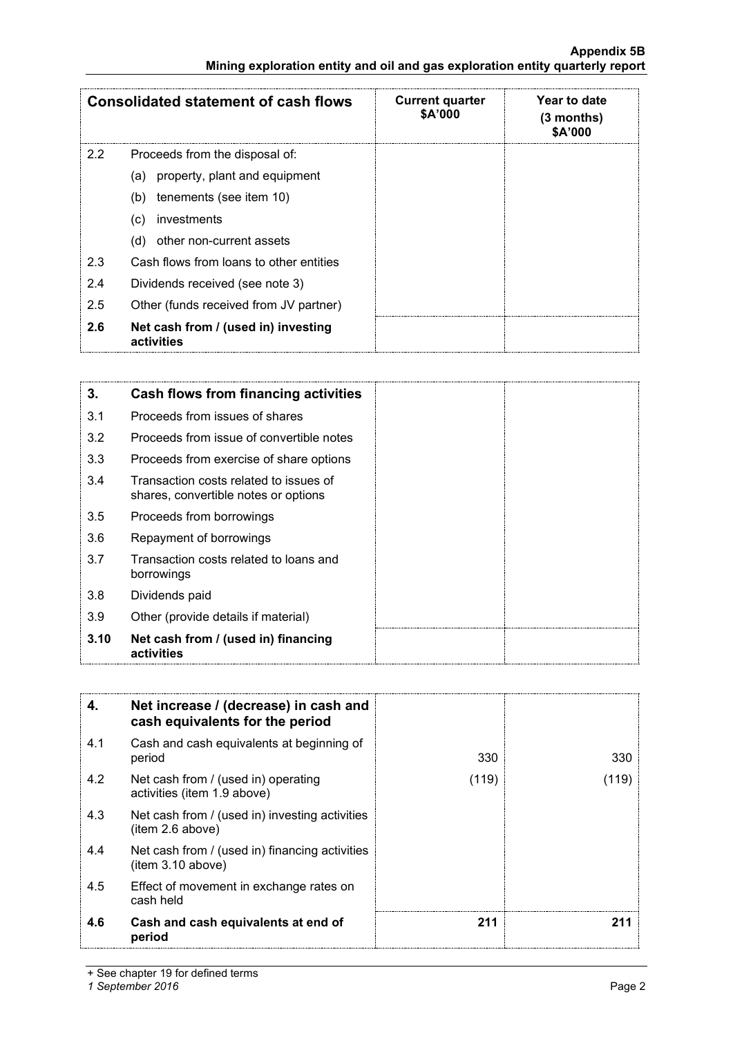### **Appendix 5B Mining exploration entity and oil and gas exploration entity quarterly report**

|     | <b>Consolidated statement of cash flows</b>       | <b>Current quarter</b><br><b>\$A'000</b> | Year to date<br>$(3$ months)<br>\$A'000 |
|-----|---------------------------------------------------|------------------------------------------|-----------------------------------------|
| 2.2 | Proceeds from the disposal of:                    |                                          |                                         |
|     | (a) property, plant and equipment                 |                                          |                                         |
|     | tenements (see item 10)<br>(b)                    |                                          |                                         |
|     | investments<br>(c)                                |                                          |                                         |
|     | other non-current assets<br>(d)                   |                                          |                                         |
| 2.3 | Cash flows from loans to other entities           |                                          |                                         |
| 2.4 | Dividends received (see note 3)                   |                                          |                                         |
| 2.5 | Other (funds received from JV partner)            |                                          |                                         |
| 2.6 | Net cash from / (used in) investing<br>activities |                                          |                                         |

| 3.   | Cash flows from financing activities                                           |  |
|------|--------------------------------------------------------------------------------|--|
| 3.1  | Proceeds from issues of shares                                                 |  |
| 3.2  | Proceeds from issue of convertible notes                                       |  |
| 3.3  | Proceeds from exercise of share options                                        |  |
| 3.4  | Transaction costs related to issues of<br>shares, convertible notes or options |  |
| 3.5  | Proceeds from borrowings                                                       |  |
| 3.6  | Repayment of borrowings                                                        |  |
| 3.7  | Transaction costs related to loans and<br>borrowings                           |  |
| 3.8  | Dividends paid                                                                 |  |
| 3.9  | Other (provide details if material)                                            |  |
| 3.10 | Net cash from / (used in) financing<br>activities                              |  |

| 4.  | Net increase / (decrease) in cash and<br>cash equivalents for the period |       |       |
|-----|--------------------------------------------------------------------------|-------|-------|
| 4.1 | Cash and cash equivalents at beginning of<br>period                      | 330   | 330   |
| 4.2 | Net cash from / (used in) operating<br>activities (item 1.9 above)       | (119) | (119) |
| 4.3 | Net cash from / (used in) investing activities<br>item 2.6 above)        |       |       |
| 4.4 | Net cash from / (used in) financing activities<br>item 3.10 above)       |       |       |
| 4.5 | Effect of movement in exchange rates on<br>cash held                     |       |       |
| 4.6 | Cash and cash equivalents at end of<br>period                            | 211   | 211   |

+ See chapter 19 for defined terms

*1 September 2016* Page 2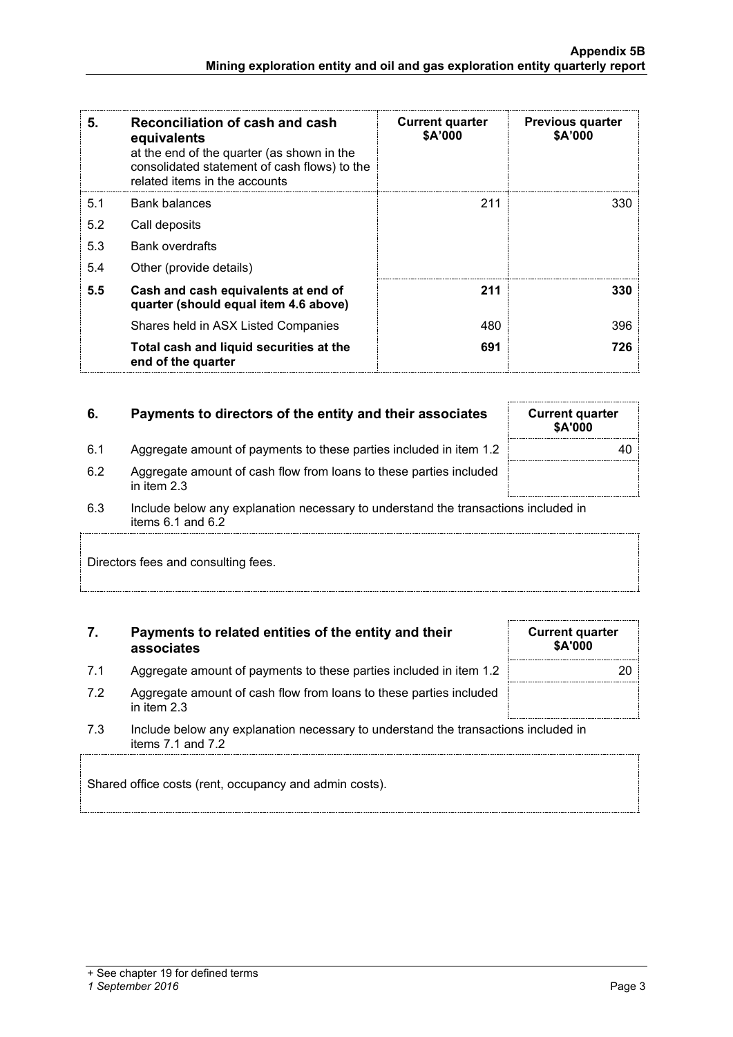**Mining exploration entity and oil and gas exploration entity quarterly report**

| 5.  | Reconciliation of cash and cash<br>equivalents<br>at the end of the quarter (as shown in the<br>consolidated statement of cash flows) to the<br>related items in the accounts | <b>Current quarter</b><br>\$A'000 | <b>Previous quarter</b><br>\$A'000 |
|-----|-------------------------------------------------------------------------------------------------------------------------------------------------------------------------------|-----------------------------------|------------------------------------|
| 5.1 | Bank balances                                                                                                                                                                 | 211                               | 330                                |
| 5.2 | Call deposits                                                                                                                                                                 |                                   |                                    |
| 5.3 | <b>Bank overdrafts</b>                                                                                                                                                        |                                   |                                    |
| 5.4 | Other (provide details)                                                                                                                                                       |                                   |                                    |
| 5.5 | Cash and cash equivalents at end of<br>quarter (should equal item 4.6 above)                                                                                                  | 211                               | 330                                |
|     | Shares held in ASX Listed Companies                                                                                                                                           | 480                               | 396                                |
|     | Total cash and liquid securities at the<br>end of the quarter                                                                                                                 | 691                               | 726                                |

## **6.** Payments to directors of the entity and their associates Current quarter

- 6.1 Aggregate amount of payments to these parties included in item 1.2 40
- 6.2 Aggregate amount of cash flow from loans to these parties included in item 2.3
- 6.3 Include below any explanation necessary to understand the transactions included in items 6.1 and 6.2

Directors fees and consulting fees.

### **7. Payments to related entities of the entity and their associates**

- 7.1 Aggregate amount of payments to these parties included in item 1.2
- 7.2 Aggregate amount of cash flow from loans to these parties included in item 2.3
- 7.3 Include below any explanation necessary to understand the transactions included in items 7.1 and 7.2

Shared office costs (rent, occupancy and admin costs).

|  | + See chapter 19 for defined terms               |  |  |
|--|--------------------------------------------------|--|--|
|  | $\sim$ $\sim$ $\sim$ $\sim$ $\sim$ $\sim$ $\sim$ |  |  |

#### *1 September 2016* Page 3

| <b>Current quarter</b><br>\$A'000 |    |
|-----------------------------------|----|
|                                   | 20 |
|                                   |    |

**\$A'000**

**Appendix 5B**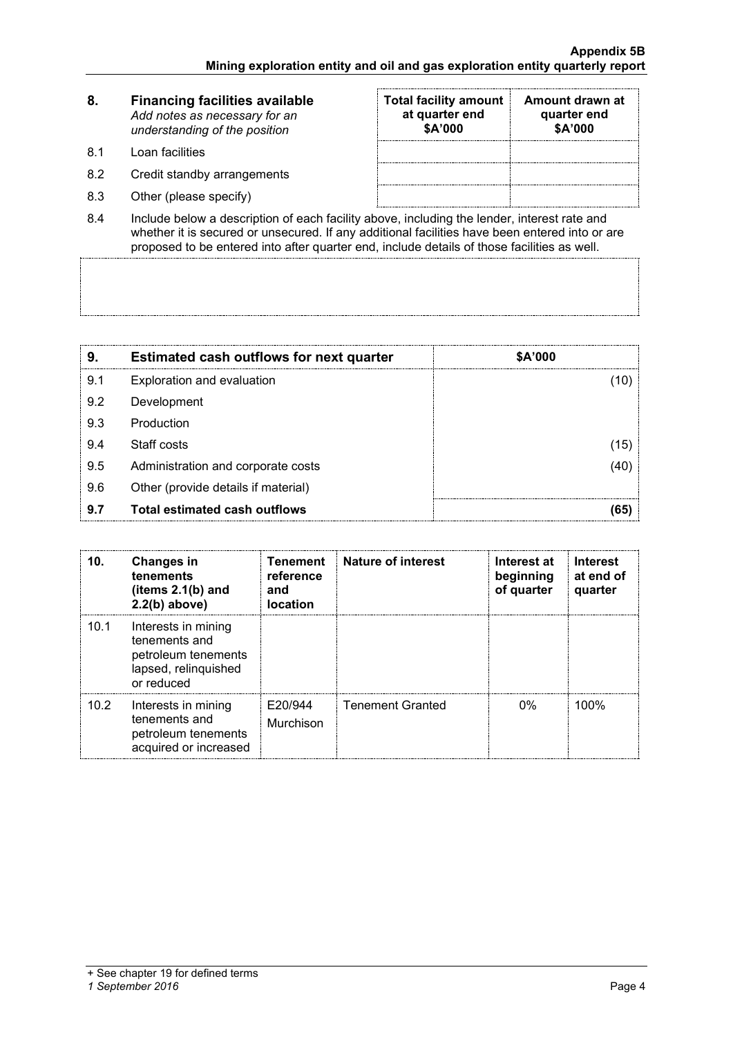| 8. | <b>Financing facilities available</b> |
|----|---------------------------------------|
|    | Add notes as necessary for an         |
|    | understanding of the position         |

- 8.1 Loan facilities
- 8.2 Credit standby arrangements
- 8.3 Other (please specify)

| <b>Total facility amount</b><br>at quarter end<br>\$A'000 | Amount drawn at<br>quarter end<br>\$A'000 |
|-----------------------------------------------------------|-------------------------------------------|
|                                                           |                                           |
|                                                           |                                           |
|                                                           |                                           |

8.4 Include below a description of each facility above, including the lender, interest rate and whether it is secured or unsecured. If any additional facilities have been entered into or are proposed to be entered into after quarter end, include details of those facilities as well.

| 9   | <b>Estimated cash outflows for next quarter</b> | \$A'000 |
|-----|-------------------------------------------------|---------|
| 9.1 | Exploration and evaluation                      |         |
| 9.2 | Development                                     |         |
| 9.3 | Production                                      |         |
| 9.4 | Staff costs                                     | 15      |
| 9.5 | Administration and corporate costs              |         |
| 9.6 | Other (provide details if material)             |         |
| 9.7 | Total estimated cash outflows                   |         |

| 10.  | <b>Changes in</b><br>tenements<br>(items $2.1(b)$ and<br>$2.2(b)$ above)                          | <b>Tenement</b><br>reference<br>and<br><b>location</b> | <b>Nature of interest</b> | Interest at<br>beginning<br>of quarter | <b>Interest</b><br>at end of<br>quarter |
|------|---------------------------------------------------------------------------------------------------|--------------------------------------------------------|---------------------------|----------------------------------------|-----------------------------------------|
| 10.1 | Interests in mining<br>tenements and<br>petroleum tenements<br>lapsed, relinquished<br>or reduced |                                                        |                           |                                        |                                         |
| 10.2 | Interests in mining<br>tenements and<br>petroleum tenements<br>acquired or increased              | E20/944<br>Murchison                                   | <b>Tenement Granted</b>   | $0\%$                                  | 100%                                    |